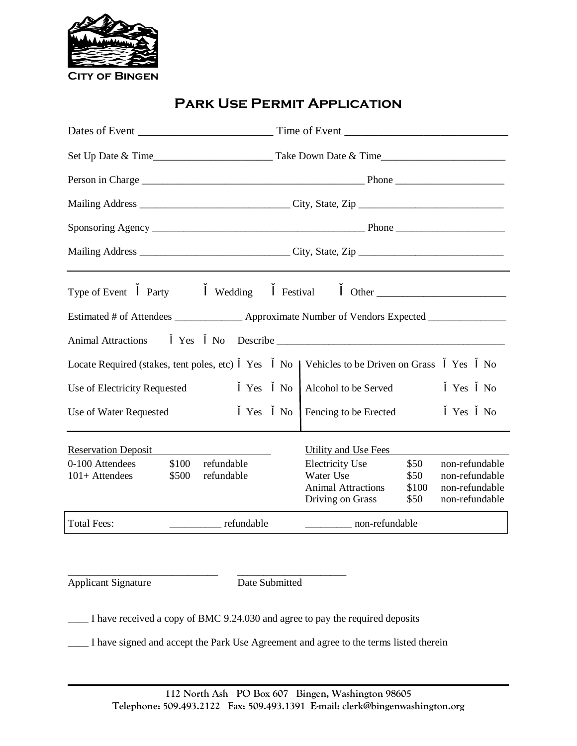

# **Park Use Permit Application**

|                                                                                               | Mailing Address __________________________________City, State, Zip _________________________________                                                                                          |  |  |  |
|-----------------------------------------------------------------------------------------------|-----------------------------------------------------------------------------------------------------------------------------------------------------------------------------------------------|--|--|--|
| Type of Event<br>Party<br>Wedding                                                             | Festival                                                                                                                                                                                      |  |  |  |
| Estimated # of Attendees _______________ Approximate Number of Vendors Expected _____________ |                                                                                                                                                                                               |  |  |  |
| <b>Animal Attractions</b><br>Yes<br>No                                                        |                                                                                                                                                                                               |  |  |  |
| Locate Required (stakes, tent poles, etc)<br>Yes                                              | Vehicles to be Driven on Grass<br>Yes<br>N <sub>0</sub><br>No.                                                                                                                                |  |  |  |
| N <sub>o</sub><br>Use of Electricity Requested<br>Yes                                         | Alcohol to be Served<br>Yes<br>N <sub>0</sub>                                                                                                                                                 |  |  |  |
| Use of Water Requested<br>Yes                                                                 | Fencing to be Erected<br>N <sub>o</sub><br>Yes<br>N <sub>o</sub>                                                                                                                              |  |  |  |
| <b>Reservation Deposit</b>                                                                    | Utility and Use Fees                                                                                                                                                                          |  |  |  |
| 0-100 Attendees<br>\$100<br>refundable<br>\$500<br>$101+$ Attendees<br>refundable             | \$50<br><b>Electricity Use</b><br>non-refundable<br>Water Use<br>\$50<br>non-refundable<br><b>Animal Attractions</b><br>\$100<br>non-refundable<br>Driving on Grass<br>\$50<br>non-refundable |  |  |  |
| <b>Total Fees:</b><br>refundable                                                              | non-refundable                                                                                                                                                                                |  |  |  |

Applicant Signature Date Submitted

\_\_\_\_\_\_\_\_\_\_\_\_\_\_\_\_\_\_\_\_\_\_\_\_\_\_\_\_\_ \_\_\_\_\_\_\_\_\_\_\_\_\_\_\_\_\_\_\_\_\_

\_\_\_\_ I have received a copy of BMC 9.24.030 and agree to pay the required deposits

\_\_\_\_ I have signed and accept the Park Use Agreement and agree to the terms listed therein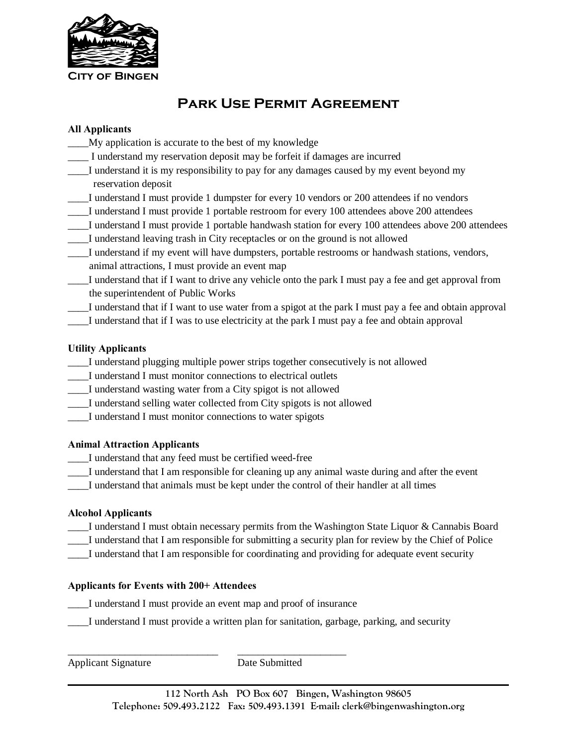

# **Park Use Permit Agreement**

# **All Applicants**

- \_\_\_\_My application is accurate to the best of my knowledge
- \_\_\_\_ I understand my reservation deposit may be forfeit if damages are incurred
- \_\_\_\_I understand it is my responsibility to pay for any damages caused by my event beyond my reservation deposit
- \_\_\_\_I understand I must provide 1 dumpster for every 10 vendors or 200 attendees if no vendors
- \_\_\_\_I understand I must provide 1 portable restroom for every 100 attendees above 200 attendees
- \_\_\_\_I understand I must provide 1 portable handwash station for every 100 attendees above 200 attendees
- \_\_\_\_I understand leaving trash in City receptacles or on the ground is not allowed
- \_\_\_\_I understand if my event will have dumpsters, portable restrooms or handwash stations, vendors, animal attractions, I must provide an event map
- \_\_\_\_I understand that if I want to drive any vehicle onto the park I must pay a fee and get approval from the superintendent of Public Works
- \_\_\_\_I understand that if I want to use water from a spigot at the park I must pay a fee and obtain approval
- \_\_\_\_I understand that if I was to use electricity at the park I must pay a fee and obtain approval

#### **Utility Applicants**

- \_\_\_\_I understand plugging multiple power strips together consecutively is not allowed
- \_\_\_\_I understand I must monitor connections to electrical outlets
- \_\_\_\_I understand wasting water from a City spigot is not allowed
- \_\_\_\_I understand selling water collected from City spigots is not allowed
- \_\_\_\_I understand I must monitor connections to water spigots

# **Animal Attraction Applicants**

- I understand that any feed must be certified weed-free
- \_\_\_\_I understand that I am responsible for cleaning up any animal waste during and after the event
- \_\_\_\_I understand that animals must be kept under the control of their handler at all times

# **Alcohol Applicants**

- I understand I must obtain necessary permits from the Washington State Liquor & Cannabis Board
- \_\_\_\_I understand that I am responsible for submitting a security plan for review by the Chief of Police
- \_\_\_\_I understand that I am responsible for coordinating and providing for adequate event security

# **Applicants for Events with 200+ Attendees**

I understand I must provide an event map and proof of insurance

\_\_\_\_\_\_\_\_\_\_\_\_\_\_\_\_\_\_\_\_\_\_\_\_\_\_\_\_\_ \_\_\_\_\_\_\_\_\_\_\_\_\_\_\_\_\_\_\_\_\_

\_\_\_\_I understand I must provide a written plan for sanitation, garbage, parking, and security

Applicant Signature Date Submitted